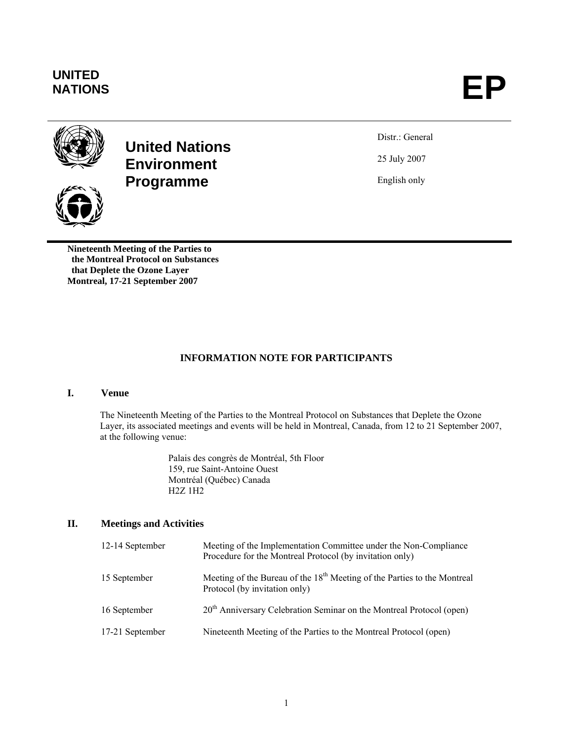# **UNITED**





## **United Nations Environment Programme**



**Nineteenth Meeting of the Parties to the Montreal Protocol on Substances that Deplete the Ozone Layer Montreal, 17-21 September 2007** 

Distr.: General 25 July 2007

English only

### **INFORMATION NOTE FOR PARTICIPANTS**

#### **I. Venue**

The Nineteenth Meeting of the Parties to the Montreal Protocol on Substances that Deplete the Ozone Layer, its associated meetings and events will be held in Montreal, Canada, from 12 to 21 September 2007, at the following venue:

> Palais des congrès de Montréal, 5th Floor 159, rue Saint-Antoine Ouest Montréal (Québec) Canada H2Z 1H2

#### **II. Meetings and Activities**

| 12-14 September | Meeting of the Implementation Committee under the Non-Compliance<br>Procedure for the Montreal Protocol (by invitation only) |
|-----------------|------------------------------------------------------------------------------------------------------------------------------|
| 15 September    | Meeting of the Bureau of the 18 <sup>th</sup> Meeting of the Parties to the Montreal<br>Protocol (by invitation only)        |
| 16 September    | $20th$ Anniversary Celebration Seminar on the Montreal Protocol (open)                                                       |
| 17-21 September | Nineteenth Meeting of the Parties to the Montreal Protocol (open)                                                            |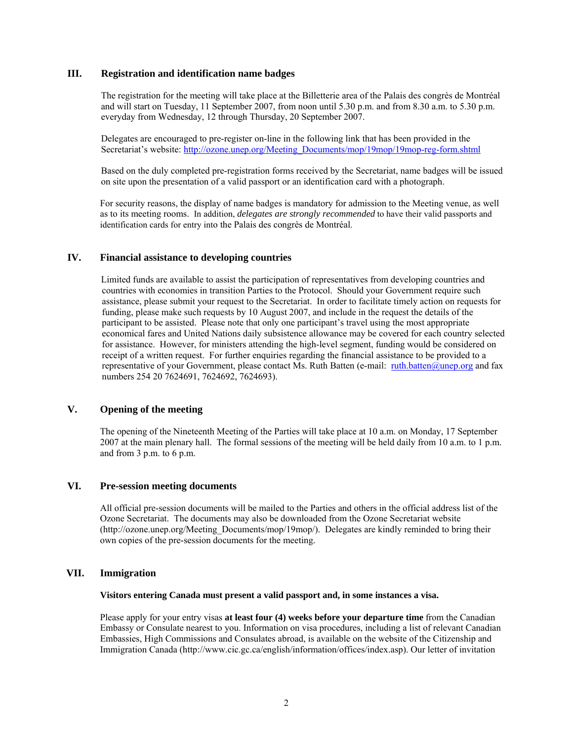#### **III. Registration and identification name badges**

The registration for the meeting will take place at the Billetterie area of the Palais des congrès de Montréal and will start on Tuesday, 11 September 2007, from noon until 5.30 p.m. and from 8.30 a.m. to 5.30 p.m. everyday from Wednesday, 12 through Thursday, 20 September 2007.

Delegates are encouraged to pre-register on-line in the following link that has been provided in the Secretariat's website: http://ozone.unep.org/Meeting\_Documents/mop/19mop/19mop-reg-form.shtml

Based on the duly completed pre-registration forms received by the Secretariat, name badges will be issued on site upon the presentation of a valid passport or an identification card with a photograph.

For security reasons, the display of name badges is mandatory for admission to the Meeting venue, as well as to its meeting rooms. In addition, *delegates are strongly recommended* to have their valid passports and identification cards for entry into the Palais des congrès de Montréal.

#### **IV. Financial assistance to developing countries**

Limited funds are available to assist the participation of representatives from developing countries and countries with economies in transition Parties to the Protocol. Should your Government require such assistance, please submit your request to the Secretariat. In order to facilitate timely action on requests for funding, please make such requests by 10 August 2007, and include in the request the details of the participant to be assisted. Please note that only one participant's travel using the most appropriate economical fares and United Nations daily subsistence allowance may be covered for each country selected for assistance. However, for ministers attending the high-level segment, funding would be considered on receipt of a written request. For further enquiries regarding the financial assistance to be provided to a representative of your Government, please contact Ms. Ruth Batten (e-mail: ruth.batten@unep.org and fax numbers 254 20 7624691, 7624692, 7624693).

#### **V. Opening of the meeting**

The opening of the Nineteenth Meeting of the Parties will take place at 10 a.m. on Monday, 17 September 2007 at the main plenary hall. The formal sessions of the meeting will be held daily from 10 a.m. to 1 p.m. and from 3 p.m. to 6 p.m.

#### **VI. Pre-session meeting documents**

All official pre-session documents will be mailed to the Parties and others in the official address list of the Ozone Secretariat. The documents may also be downloaded from the Ozone Secretariat website (http://ozone.unep.org/Meeting\_Documents/mop/19mop/). Delegates are kindly reminded to bring their own copies of the pre-session documents for the meeting.

#### **VII. Immigration**

**Visitors entering Canada must present a valid passport and, in some instances a visa.** 

Please apply for your entry visas **at least four (4) weeks before your departure time** from the Canadian Embassy or Consulate nearest to you. Information on visa procedures, including a list of relevant Canadian Embassies, High Commissions and Consulates abroad, is available on the website of the Citizenship and Immigration Canada (http://www.cic.gc.ca/english/information/offices/index.asp). Our letter of invitation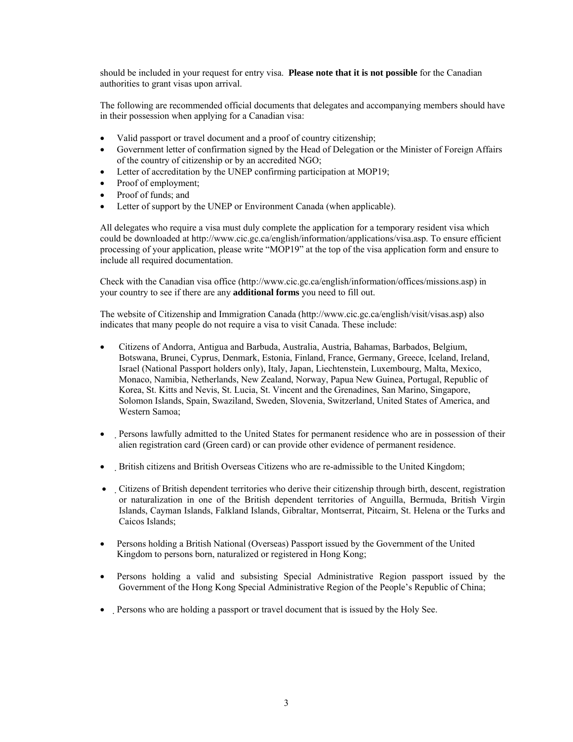should be included in your request for entry visa. **Please note that it is not possible** for the Canadian authorities to grant visas upon arrival.

The following are recommended official documents that delegates and accompanying members should have in their possession when applying for a Canadian visa:

- Valid passport or travel document and a proof of country citizenship;
- Government letter of confirmation signed by the Head of Delegation or the Minister of Foreign Affairs of the country of citizenship or by an accredited NGO;
- Letter of accreditation by the UNEP confirming participation at MOP19;
- Proof of employment;
- Proof of funds; and
- Letter of support by the UNEP or Environment Canada (when applicable).

All delegates who require a visa must duly complete the application for a temporary resident visa which could be downloaded at http://www.cic.gc.ca/english/information/applications/visa.asp. To ensure efficient processing of your application, please write "MOP19" at the top of the visa application form and ensure to include all required documentation.

Check with the Canadian visa office (http://www.cic.gc.ca/english/information/offices/missions.asp) in your country to see if there are any **additional forms** you need to fill out.

The website of Citizenship and Immigration Canada (http://www.cic.gc.ca/english/visit/visas.asp) also indicates that many people do not require a visa to visit Canada. These include:

- Citizens of Andorra, Antigua and Barbuda, Australia, Austria, Bahamas, Barbados, Belgium, Botswana, Brunei, Cyprus, Denmark, Estonia, Finland, France, Germany, Greece, Iceland, Ireland, Israel (National Passport holders only), Italy, Japan, Liechtenstein, Luxembourg, Malta, Mexico, Monaco, Namibia, Netherlands, New Zealand, Norway, Papua New Guinea, Portugal, Republic of Korea, St. Kitts and Nevis, St. Lucia, St. Vincent and the Grenadines, San Marino, Singapore, Solomon Islands, Spain, Swaziland, Sweden, Slovenia, Switzerland, United States of America, and Western Samoa;
- Persons lawfully admitted to the United States for permanent residence who are in possession of their alien registration card (Green card) or can provide other evidence of permanent residence.
- British citizens and British Overseas Citizens who are re-admissible to the United Kingdom;
- Citizens of British dependent territories who derive their citizenship through birth, descent, registration or naturalization in one of the British dependent territories of Anguilla, Bermuda, British Virgin Islands, Cayman Islands, Falkland Islands, Gibraltar, Montserrat, Pitcairn, St. Helena or the Turks and Caicos Islands;
- Persons holding a British National (Overseas) Passport issued by the Government of the United Kingdom to persons born, naturalized or registered in Hong Kong;
- Persons holding a valid and subsisting Special Administrative Region passport issued by the Government of the Hong Kong Special Administrative Region of the People's Republic of China;
- Persons who are holding a passport or travel document that is issued by the Holy See.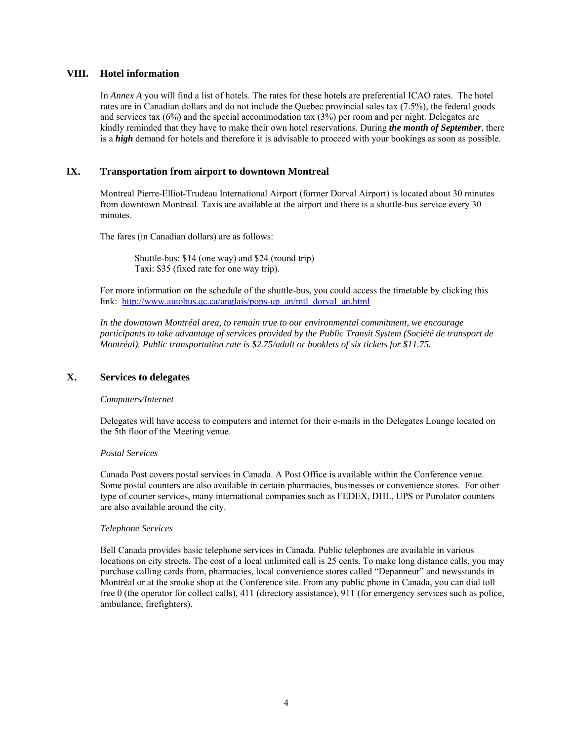#### **VIII. Hotel information**

In *Annex A* you will find a list of hotels. The rates for these hotels are preferential ICAO rates. The hotel rates are in Canadian dollars and do not include the Quebec provincial sales tax (7.5%), the federal goods and services tax (6%) and the special accommodation tax (3%) per room and per night. Delegates are kindly reminded that they have to make their own hotel reservations. During *the month of September*, there is a *high* demand for hotels and therefore it is advisable to proceed with your bookings as soon as possible.

#### **IX. Transportation from airport to downtown Montreal**

Montreal Pierre-Elliot-Trudeau International Airport (former Dorval Airport) is located about 30 minutes from downtown Montreal. Taxis are available at the airport and there is a shuttle-bus service every 30 minutes.

The fares (in Canadian dollars) are as follows:

 Shuttle-bus: \$14 (one way) and \$24 (round trip) Taxi: \$35 (fixed rate for one way trip).

For more information on the schedule of the shuttle-bus, you could access the timetable by clicking this link: http://www.autobus.qc.ca/anglais/pops-up\_an/mtl\_dorval\_an.html

*In the downtown Montréal area, to remain true to our environmental commitment, we encourage participants to take advantage of services provided by the Public Transit System (Société de transport de Montréal). Public transportation rate is \$2.75/adult or booklets of six tickets for \$11.75.* 

#### **X. Services to delegates**

#### *Computers/Internet*

Delegates will have access to computers and internet for their e-mails in the Delegates Lounge located on the 5th floor of the Meeting venue.

#### *Postal Services*

Canada Post covers postal services in Canada. A Post Office is available within the Conference venue. Some postal counters are also available in certain pharmacies, businesses or convenience stores. For other type of courier services, many international companies such as FEDEX, DHL, UPS or Purolator counters are also available around the city.

#### *Telephone Services*

Bell Canada provides basic telephone services in Canada. Public telephones are available in various locations on city streets. The cost of a local unlimited call is 25 cents. To make long distance calls, you may purchase calling cards from, pharmacies, local convenience stores called "Depanneur" and newsstands in Montréal or at the smoke shop at the Conference site. From any public phone in Canada, you can dial toll free 0 (the operator for collect calls), 411 (directory assistance), 911 (for emergency services such as police, ambulance, firefighters).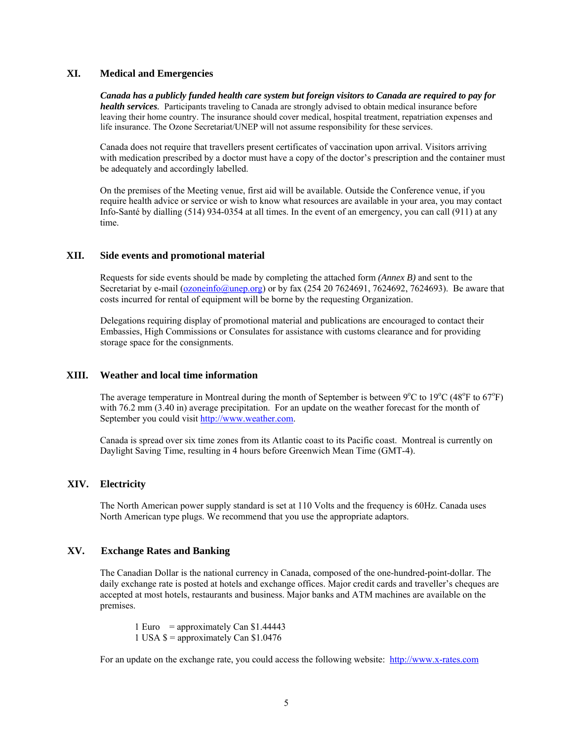#### **XI. Medical and Emergencies**

*Canada has a publicly funded health care system but foreign visitors to Canada are required to pay for health services.* Participants traveling to Canada are strongly advised to obtain medical insurance before leaving their home country. The insurance should cover medical, hospital treatment, repatriation expenses and life insurance. The Ozone Secretariat/UNEP will not assume responsibility for these services.

Canada does not require that travellers present certificates of vaccination upon arrival. Visitors arriving with medication prescribed by a doctor must have a copy of the doctor's prescription and the container must be adequately and accordingly labelled.

On the premises of the Meeting venue, first aid will be available. Outside the Conference venue, if you require health advice or service or wish to know what resources are available in your area, you may contact Info-Santé by dialling (514) 934-0354 at all times. In the event of an emergency, you can call (911) at any time.

#### **XII. Side events and promotional material**

Requests for side events should be made by completing the attached form *(Annex B)* and sent to the Secretariat by e-mail (ozoneinfo@unep.org) or by fax (254 20 7624691, 7624692, 7624693). Be aware that costs incurred for rental of equipment will be borne by the requesting Organization.

Delegations requiring display of promotional material and publications are encouraged to contact their Embassies, High Commissions or Consulates for assistance with customs clearance and for providing storage space for the consignments.

#### **XIII. Weather and local time information**

The average temperature in Montreal during the month of September is between  $9^{\circ}$ C to  $19^{\circ}$ C (48<sup>o</sup>F to 67<sup>o</sup>F) with 76.2 mm (3.40 in) average precipitation. For an update on the weather forecast for the month of September you could visit http://www.weather.com.

Canada is spread over six time zones from its Atlantic coast to its Pacific coast. Montreal is currently on Daylight Saving Time, resulting in 4 hours before Greenwich Mean Time (GMT-4).

#### **XIV. Electricity**

 The North American power supply standard is set at 110 Volts and the frequency is 60Hz. Canada uses North American type plugs. We recommend that you use the appropriate adaptors.

#### **XV. Exchange Rates and Banking**

The Canadian Dollar is the national currency in Canada, composed of the one-hundred-point-dollar. The daily exchange rate is posted at hotels and exchange offices. Major credit cards and traveller's cheques are accepted at most hotels, restaurants and business. Major banks and ATM machines are available on the premises.

1 Euro = approximately Can  $$1.44443$ 1 USA  $\gamma$  = approximately Can  $\gamma$ 1.0476

For an update on the exchange rate, you could access the following website: http://www.x-rates.com